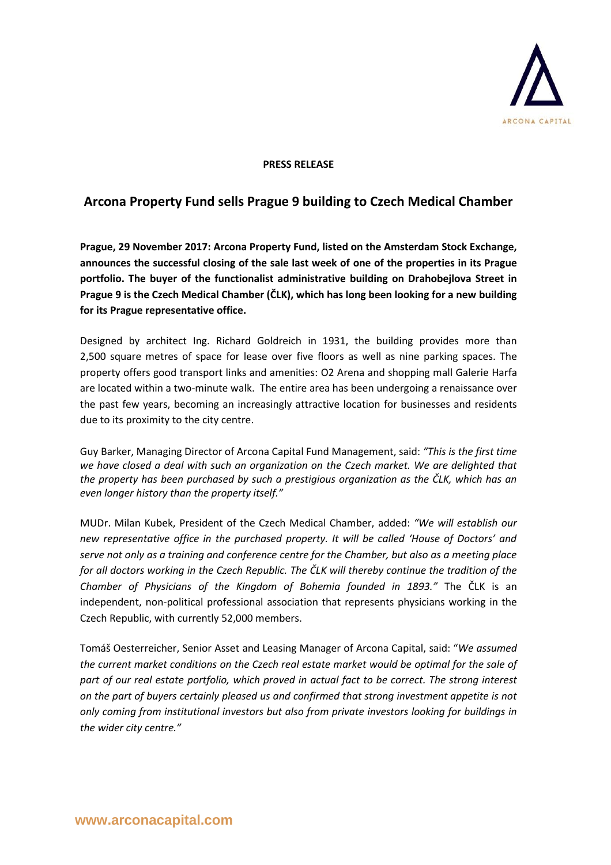

## **PRESS RELEASE**

## **Arcona Property Fund sells Prague 9 building to Czech Medical Chamber**

**Prague, 29 November 2017: Arcona Property Fund, listed on the Amsterdam Stock Exchange, announces the successful closing of the sale last week of one of the properties in its Prague portfolio. The buyer of the functionalist administrative building on Drahobejlova Street in Prague 9 is the Czech Medical Chamber (ČLK), which has long been looking for a new building for its Prague representative office.** 

Designed by architect Ing. Richard Goldreich in 1931, the building provides more than 2,500 square metres of space for lease over five floors as well as nine parking spaces. The property offers good transport links and amenities: O2 Arena and shopping mall Galerie Harfa are located within a two-minute walk. The entire area has been undergoing a renaissance over the past few years, becoming an increasingly attractive location for businesses and residents due to its proximity to the city centre.

Guy Barker, Managing Director of Arcona Capital Fund Management, said: *"This is the first time we have closed a deal with such an organization on the Czech market. We are delighted that the property has been purchased by such a prestigious organization as the ČLK, which has an even longer history than the property itself."*

MUDr. Milan Kubek, President of the Czech Medical Chamber, added: *"We will establish our new representative office in the purchased property. It will be called 'House of Doctors' and serve not only as a training and conference centre for the Chamber, but also as a meeting place for all doctors working in the Czech Republic. The ČLK will thereby continue the tradition of the Chamber of Physicians of the Kingdom of Bohemia founded in 1893."* The ČLK is an independent, non-political professional association that represents physicians working in the Czech Republic, with currently 52,000 members.

Tomáš Oesterreicher, Senior Asset and Leasing Manager of Arcona Capital, said: "*We assumed the current market conditions on the Czech real estate market would be optimal for the sale of part of our real estate portfolio, which proved in actual fact to be correct. The strong interest on the part of buyers certainly pleased us and confirmed that strong investment appetite is not only coming from institutional investors but also from private investors looking for buildings in the wider city centre."*